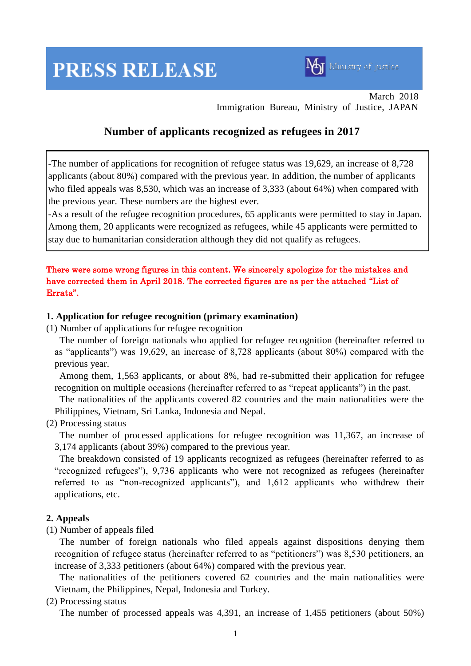# **PRESS RELEASE**



March 2018 Immigration Bureau, Ministry of Justice, JAPAN

# **Number of applicants recognized as refugees in 2017**

-The number of applications for recognition of refugee status was 19,629, an increase of 8,728 applicants (about 80%) compared with the previous year. In addition, the number of applicants who filed appeals was 8,530, which was an increase of 3,333 (about 64%) when compared with the previous year. These numbers are the highest ever.

-As a result of the refugee recognition procedures, 65 applicants were permitted to stay in Japan. Among them, 20 applicants were recognized as refugees, while 45 applicants were permitted to stay due to humanitarian consideration although they did not qualify as refugees.

## There were some wrong figures in this content. We sincerely apologize for the mistakes and have corrected them in April 2018. The corrected figures are as per the attached "List of Errata".

#### **1. Application for refugee recognition (primary examination)**

(1) Number of applications for refugee recognition

The number of foreign nationals who applied for refugee recognition (hereinafter referred to as "applicants") was 19,629, an increase of 8,728 applicants (about 80%) compared with the previous year.

Among them, 1,563 applicants, or about 8%, had re-submitted their application for refugee recognition on multiple occasions (hereinafter referred to as "repeat applicants") in the past.

The nationalities of the applicants covered 82 countries and the main nationalities were the Philippines, Vietnam, Sri Lanka, Indonesia and Nepal.

## (2) Processing status

The number of processed applications for refugee recognition was 11,367, an increase of 3,174 applicants (about 39%) compared to the previous year.

The breakdown consisted of 19 applicants recognized as refugees (hereinafter referred to as "recognized refugees"), 9,736 applicants who were not recognized as refugees (hereinafter referred to as "non-recognized applicants"), and 1,612 applicants who withdrew their applications, etc.

## **2. Appeals**

(1) Number of appeals filed

The number of foreign nationals who filed appeals against dispositions denying them recognition of refugee status (hereinafter referred to as "petitioners") was 8,530 petitioners, an increase of 3,333 petitioners (about 64%) compared with the previous year.

The nationalities of the petitioners covered 62 countries and the main nationalities were Vietnam, the Philippines, Nepal, Indonesia and Turkey.

(2) Processing status

The number of processed appeals was 4,391, an increase of 1,455 petitioners (about 50%)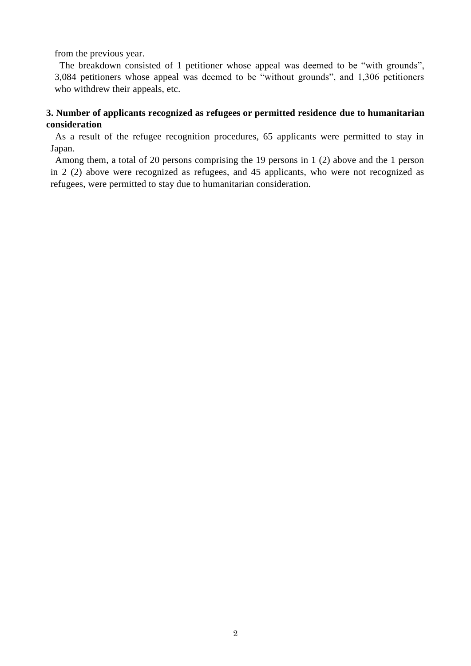from the previous year.

The breakdown consisted of 1 petitioner whose appeal was deemed to be "with grounds", 3,084 petitioners whose appeal was deemed to be "without grounds", and 1,306 petitioners who withdrew their appeals, etc.

# **3. Number of applicants recognized as refugees or permitted residence due to humanitarian consideration**

As a result of the refugee recognition procedures, 65 applicants were permitted to stay in Japan.

Among them, a total of 20 persons comprising the 19 persons in 1 (2) above and the 1 person in 2 (2) above were recognized as refugees, and 45 applicants, who were not recognized as refugees, were permitted to stay due to humanitarian consideration.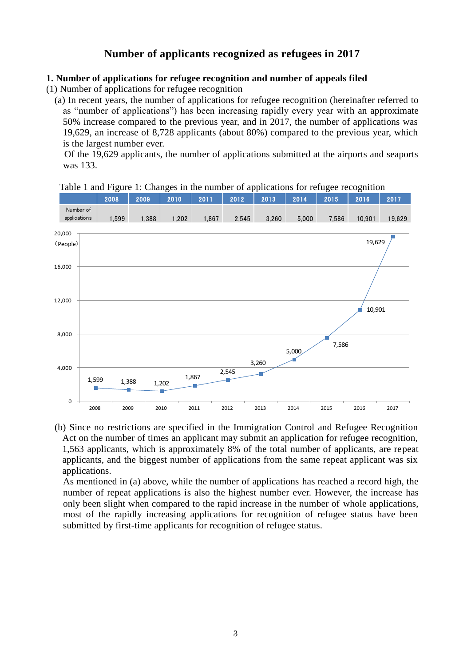# **Number of applicants recognized as refugees in 2017**

#### **1. Number of applications for refugee recognition and number of appeals filed**

(1) Number of applications for refugee recognition

(a) In recent years, the number of applications for refugee recognition (hereinafter referred to as "number of applications") has been increasing rapidly every year with an approximate 50% increase compared to the previous year, and in 2017, the number of applications was 19,629, an increase of 8,728 applicants (about 80%) compared to the previous year, which is the largest number ever.

Of the 19,629 applicants, the number of applications submitted at the airports and seaports was 133.



Table 1 and Figure 1: Changes in the number of applications for refugee recognition

(b) Since no restrictions are specified in the Immigration Control and Refugee Recognition Act on the number of times an applicant may submit an application for refugee recognition, 1,563 applicants, which is approximately 8% of the total number of applicants, are repeat applicants, and the biggest number of applications from the same repeat applicant was six applications.

As mentioned in (a) above, while the number of applications has reached a record high, the number of repeat applications is also the highest number ever. However, the increase has only been slight when compared to the rapid increase in the number of whole applications, most of the rapidly increasing applications for recognition of refugee status have been submitted by first-time applicants for recognition of refugee status.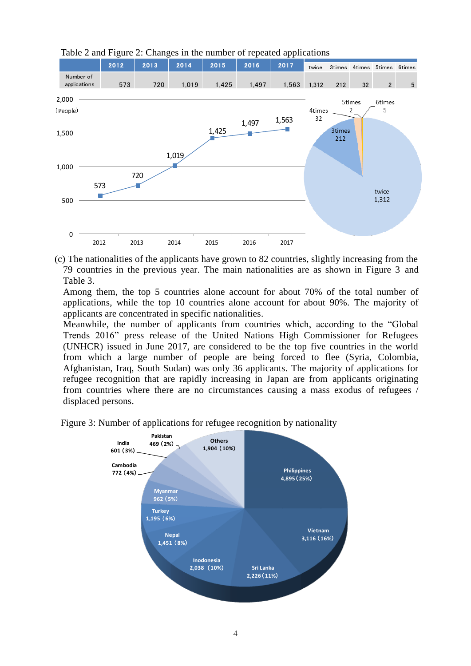

Table 2 and Figure 2: Changes in the number of repeated applications

(c) The nationalities of the applicants have grown to 82 countries, slightly increasing from the 79 countries in the previous year. The main nationalities are as shown in Figure 3 and Table 3.

Among them, the top 5 countries alone account for about 70% of the total number of applications, while the top 10 countries alone account for about 90%. The majority of applicants are concentrated in specific nationalities.

Meanwhile, the number of applicants from countries which, according to the "Global Trends 2016" press release of the United Nations High Commissioner for Refugees (UNHCR) issued in June 2017, are considered to be the top five countries in the world from which a large number of people are being forced to flee (Syria, Colombia, Afghanistan, Iraq, South Sudan) was only 36 applicants. The majority of applications for refugee recognition that are rapidly increasing in Japan are from applicants originating from countries where there are no circumstances causing a mass exodus of refugees / displaced persons.

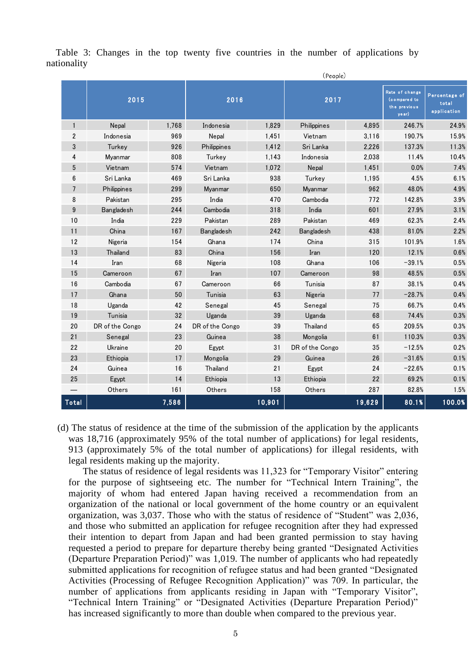|                |                   | (People) |                   |        |                   |        |                                                          |                                       |
|----------------|-------------------|----------|-------------------|--------|-------------------|--------|----------------------------------------------------------|---------------------------------------|
|                | 2015              |          | 2016              |        | 2017              |        | Rate of change<br>(compared to<br>the previous<br>ye ar) | Percentage of<br>total<br>application |
| $\mathbf{1}$   | Nepal             | 1,768    | Indonesia         | 1,829  | Philippines       | 4,895  | 246.7%                                                   | 24.9%                                 |
| $\overline{2}$ | Indonesia         | 969      | Nepal             | 1,451  | Vietnam           | 3,116  | 190.7%                                                   | 15.9%                                 |
| 3              | Turkey            | 926      | Philippines       | 1,412  | Sri Lanka         | 2,226  | 137.3%                                                   | 11.3%                                 |
| 4              | Myanmar           | 808      | Turkey            | 1,143  | Indonesia         | 2,038  | 11.4%                                                    | 10.4%                                 |
| 5              | Vietnam           | 574      | Vietnam           | 1,072  | Nepal             | 1,451  | 0.0%                                                     | 7.4%                                  |
| 6              | Sri Lanka         | 469      | Sri Lanka         | 938    | Turkev            | 1.195  | 4.5%                                                     | 6.1%                                  |
| $\overline{7}$ | Philippines       | 299      | Myanmar           | 650    | Myanmar           | 962    | 48.0%                                                    | 4.9%                                  |
| 8              | Pakistan          | 295      | India             | 470    | Cambodia          | 772    | 142.8%                                                   | 3.9%                                  |
| 9              | <b>Bangladesh</b> | 244      | Cambodia          | 318    | India             | 601    | 27.9%                                                    | 3.1%                                  |
| 10             | India             | 229      | Pakistan          | 289    | Pakistan          | 469    | 62.3%                                                    | 2.4%                                  |
| 11             | China             | 167      | <b>Bangladesh</b> | 242    | <b>Bangladesh</b> | 438    | 81.0%                                                    | 2.2%                                  |
| 12             | Nigeria           | 154      | Ghana             | 174    | China             | 315    | 101.9%                                                   | 1.6%                                  |
| 13             | Thailand          | 83       | China             | 156    | Iran              | 120    | 12.1%                                                    | 0.6%                                  |
| 14             | Iran              | 68       | Nigeria           | 108    | Ghana             | 106    | $-39.1%$                                                 | 0.5%                                  |
| 15             | Cameroon          | 67       | Iran              | 107    | Cameroon          | 98     | 48.5%                                                    | 0.5%                                  |
| 16             | Cambodia          | 67       | Cameroon          | 66     | Tunisia           | 87     | 38.1%                                                    | 0.4%                                  |
| 17             | Ghana             | 50       | Tunisia           | 63     | Nigeria           | 77     | $-28.7%$                                                 | 0.4%                                  |
| 18             | Uganda            | 42       | Senegal           | 45     | Senegal           | 75     | 66.7%                                                    | 0.4%                                  |
| 19             | Tunisia           | 32       | Uganda            | 39     | Uganda            | 68     | 74.4%                                                    | 0.3%                                  |
| 20             | DR of the Congo   | 24       | DR of the Congo   | 39     | Thailand          | 65     | 209.5%                                                   | 0.3%                                  |
| 21             | Senegal           | 23       | Guinea            | 38     | Mongolia          | 61     | 110.3%                                                   | 0.3%                                  |
| 22             | Ukraine           | 20       | Egypt             | 31     | DR of the Congo   | 35     | $-12.5%$                                                 | 0.2%                                  |
| 23             | Ethiopia          | 17       | Mongolia          | 29     | Guinea            | 26     | $-31.6%$                                                 | 0.1%                                  |
| 24             | Guinea            | 16       | Thailand          | 21     | Egypt             | 24     | $-22.6%$                                                 | 0.1%                                  |
| 25             | Egypt             | 14       | Ethiopia          | 13     | Ethiopia          | 22     | 69.2%                                                    | 0.1%                                  |
|                | Others            | 161      | Others            | 158    | Others            | 287    | 82.8%                                                    | 1.5%                                  |
| Total          |                   | 7,586    |                   | 10,901 |                   | 19,629 | 80.1%                                                    | 100.0%                                |

Table 3: Changes in the top twenty five countries in the number of applications by nationality

(d) The status of residence at the time of the submission of the application by the applicants was 18,716 (approximately 95% of the total number of applications) for legal residents, 913 (approximately 5% of the total number of applications) for illegal residents, with legal residents making up the majority.

The status of residence of legal residents was 11,323 for "Temporary Visitor" entering for the purpose of sightseeing etc. The number for "Technical Intern Training", the majority of whom had entered Japan having received a recommendation from an organization of the national or local government of the home country or an equivalent organization, was 3,037. Those who with the status of residence of "Student" was 2,036, and those who submitted an application for refugee recognition after they had expressed their intention to depart from Japan and had been granted permission to stay having requested a period to prepare for departure thereby being granted "Designated Activities (Departure Preparation Period)" was 1,019. The number of applicants who had repeatedly submitted applications for recognition of refugee status and had been granted "Designated Activities (Processing of Refugee Recognition Application)" was 709. In particular, the number of applications from applicants residing in Japan with "Temporary Visitor", "Technical Intern Training" or "Designated Activities (Departure Preparation Period)" has increased significantly to more than double when compared to the previous year.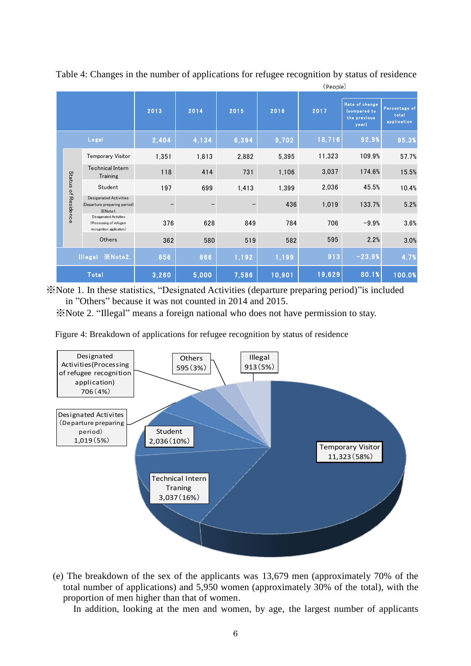|       |                         | (People)                                                                       |       |       |       |        |        |                                                         |                                       |
|-------|-------------------------|--------------------------------------------------------------------------------|-------|-------|-------|--------|--------|---------------------------------------------------------|---------------------------------------|
|       |                         |                                                                                | 2013  | 2014  | 2015  | 2016   | 2017   | Rate of change<br>(compared to<br>the previous<br>year) | Percentage of<br>total<br>application |
|       |                         | Legal                                                                          | 2,404 | 4,134 | 6,394 | 9,702  | 18,716 | 92.9%                                                   | 95.3%                                 |
|       |                         | Temporary Visitor                                                              | 1,351 | 1,813 | 2,882 | 5,395  | 11,323 | 109.9%                                                  | 57.7%                                 |
|       | Status                  | <b>Technical Intern</b><br>Training                                            | 118   | 414   | 731   | 1,106  | 3,037  | 174.6%                                                  | 15.5%                                 |
|       |                         | Student                                                                        | 197   | 699   | 1,413 | 1,399  | 2,036  | 45.5%                                                   | 10.4%                                 |
|       | of Residence            | <b>Desiganated Activities</b><br>(Departure preparing period)<br>XNote1.       |       |       |       | 436    | 1,019  | 133.7%                                                  | 5.2%                                  |
|       |                         | De siganate d Activities<br>(Processing of refugee<br>recognition application) | 376   | 628   | 849   | 784    | 706    | $-9.9%$                                                 | 3.6%                                  |
|       |                         | Others                                                                         | 362   | 580   | 519   | 582    | 595    | 2.2%                                                    | 3.0%                                  |
|       | Illegal <b>XNote2</b> . |                                                                                | 856   | 866   | 1,192 | 1,199  | 913    | $-23.9%$                                                | 4.7%                                  |
| Total |                         |                                                                                | 3,260 | 5,000 | 7,586 | 10,901 | 19,629 | 80.1%                                                   | 100.0%                                |

Table 4: Changes in the number of applications for refugee recognition by status of residence

※Note 1. In these statistics, "Designated Activities (departure preparing period)"is included in "Others" because it was not counted in 2014 and 2015.

※Note 2. "Illegal" means a foreign national who does not have permission to stay.

Figure 4: Breakdown of applications for refugee recognition by status of residence



(e) The breakdown of the sex of the applicants was 13,679 men (approximately 70% of the total number of applications) and 5,950 women (approximately 30% of the total), with the proportion of men higher than that of women.

In addition, looking at the men and women, by age, the largest number of applicants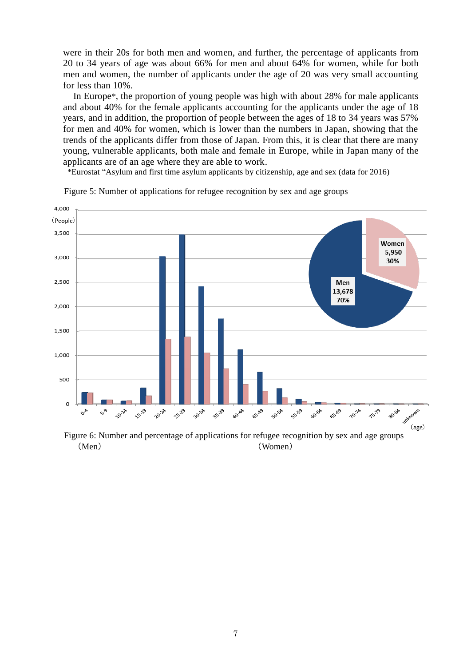were in their 20s for both men and women, and further, the percentage of applicants from 20 to 34 years of age was about 66% for men and about 64% for women, while for both men and women, the number of applicants under the age of 20 was very small accounting for less than 10%.

In Europe\*, the proportion of young people was high with about 28% for male applicants and about 40% for the female applicants accounting for the applicants under the age of 18 years, and in addition, the proportion of people between the ages of 18 to 34 years was 57% for men and 40% for women, which is lower than the numbers in Japan, showing that the trends of the applicants differ from those of Japan. From this, it is clear that there are many young, vulnerable applicants, both male and female in Europe, while in Japan many of the applicants are of an age where they are able to work.

\*Eurostat "Asylum and first time asylum applicants by citizenship, age and sex (data for 2016)



Figure 5: Number of applications for refugee recognition by sex and age groups

 Figure 6: Number and percentage of applications for refugee recognition by sex and age groups (Men) (Women)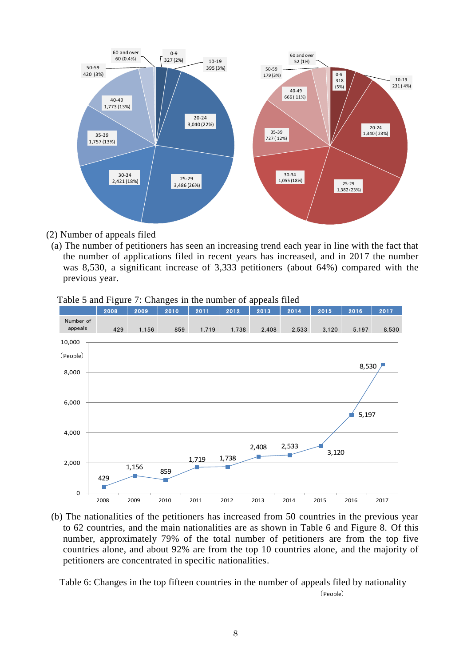

- (2) Number of appeals filed
- (a) The number of petitioners has seen an increasing trend each year in line with the fact that the number of applications filed in recent years has increased, and in 2017 the number was 8,530, a significant increase of 3,333 petitioners (about 64%) compared with the previous year.



Table 5 and Figure 7: Changes in the number of appeals filed

(b) The nationalities of the petitioners has increased from 50 countries in the previous year to 62 countries, and the main nationalities are as shown in Table 6 and Figure 8. Of this number, approximately 79% of the total number of petitioners are from the top five countries alone, and about 92% are from the top 10 countries alone, and the majority of petitioners are concentrated in specific nationalities.

Table 6: Changes in the top fifteen countries in the number of appeals filed by nationality (People)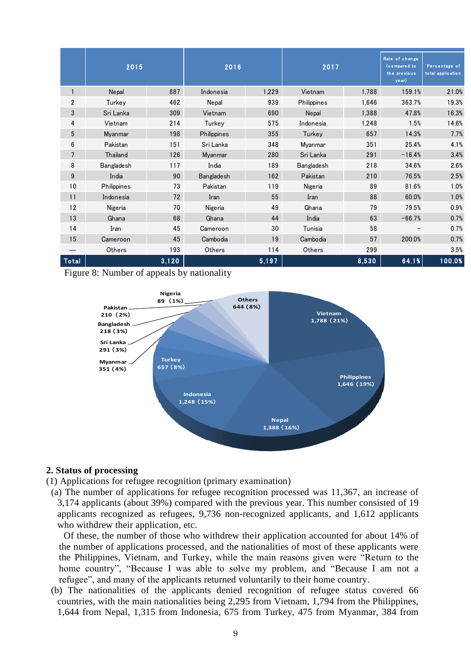|                  | 2015        |       | 2016              |       | 2017              |       | Rate of change<br>(compared to<br>the previous<br>year) | Percentage of<br>to tal application |
|------------------|-------------|-------|-------------------|-------|-------------------|-------|---------------------------------------------------------|-------------------------------------|
| $\mathbf{1}$     | Nepal       | 887   | Indonesia         | 1,229 | Vietnam           | 1,788 | 159.1%                                                  | 21.0%                               |
| $\overline{2}$   | Turkey      | 462   | Nepal             | 939   | Philippines       | 1,646 | 363.7%                                                  | 19.3%                               |
| $\sqrt{3}$       | Sri Lanka   | 309   | Vietnam           | 690   | Nepal             | 1,388 | 47.8%                                                   | 16.3%                               |
| 4                | Vietnam     | 214   | Turkey            | 575   | Indonesia         | 1,248 | 1.5%                                                    | 14.6%                               |
| 5                | Myanmar     | 198   | Philippines       | 355   | Turkey            | 657   | 14.3%                                                   | 7.7%                                |
| 6                | Pakistan    | 151   | Sri Lanka         | 348   | Myanmar           | 351   | 25.4%                                                   | 4.1%                                |
| $\overline{7}$   | Thailand    | 126   | Myanmar           | 280   | Sri Lanka         | 291   | $-16.4%$                                                | 3.4%                                |
| 8                | Bangladesh  | 117   | India             | 189   | <b>Bangladesh</b> | 218   | 34.6%                                                   | 2.6%                                |
| $\boldsymbol{9}$ | India       | 90    | <b>Bangladesh</b> | 162   | Pakistan          | 210   | 76.5%                                                   | 2.5%                                |
| 10               | Philippines | 73    | Pakistan          | 119   | Nigeria           | 89    | 81.6%                                                   | 1.0%                                |
| 11               | Indonesia   | 72    | Iran              | 55    | Iran              | 88    | 60.0%                                                   | 1.0%                                |
| 12               | Nigeria     | 70    | Nigeria           | 49    | Ghana             | 79    | 79.5%                                                   | 0.9%                                |
| 13               | Ghana       | 68    | Ghana             | 44    | India             | 63    | $-66.7%$                                                | 0.7%                                |
| 14               | Iran        | 45    | Cameroon          | 30    | Tunisia           | 58    |                                                         | 0.7%                                |
| 15               | Cameroon    | 45    | Cambodia          | 19    | Cambodia          | 57    | 200.0%                                                  | 0.7%                                |
|                  | Others      | 193   | Others            | 114   | Others            | 299   |                                                         | 3.5%                                |
| Total            |             | 3,120 |                   | 5,197 |                   | 8,530 | 64.1%                                                   | 100.0%                              |

Figure 8: Number of appeals by nationality



#### **2. Status of processing**

(1) Applications for refugee recognition (primary examination)

(a) The number of applications for refugee recognition processed was 11,367, an increase of 3,174 applicants (about 39%) compared with the previous year. This number consisted of 19 applicants recognized as refugees, 9,736 non-recognized applicants, and 1,612 applicants who withdrew their application, etc.

Of these, the number of those who withdrew their application accounted for about 14% of the number of applications processed, and the nationalities of most of these applicants were the Philippines, Vietnam, and Turkey, while the main reasons given were "Return to the home country", "Because I was able to solve my problem, and "Because I am not a refugee", and many of the applicants returned voluntarily to their home country.

(b) The nationalities of the applicants denied recognition of refugee status covered 66 countries, with the main nationalities being 2,295 from Vietnam, 1,794 from the Philippines, 1,644 from Nepal, 1,315 from Indonesia, 675 from Turkey, 475 from Myanmar, 384 from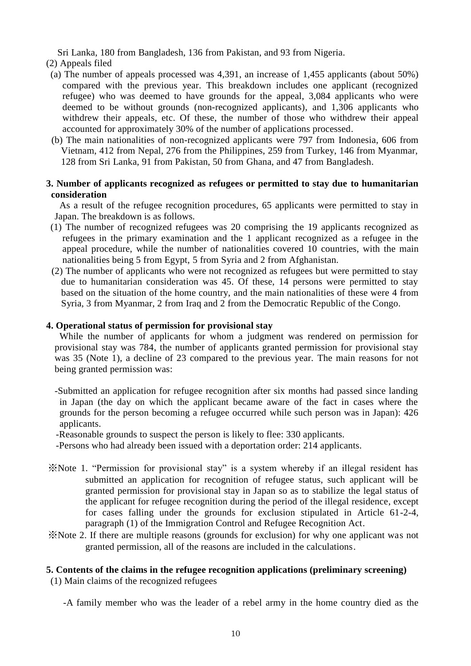Sri Lanka, 180 from Bangladesh, 136 from Pakistan, and 93 from Nigeria.

#### (2) Appeals filed

- (a) The number of appeals processed was 4,391, an increase of 1,455 applicants (about 50%) compared with the previous year. This breakdown includes one applicant (recognized refugee) who was deemed to have grounds for the appeal, 3,084 applicants who were deemed to be without grounds (non-recognized applicants), and 1,306 applicants who withdrew their appeals, etc. Of these, the number of those who withdrew their appeal accounted for approximately 30% of the number of applications processed.
- (b) The main nationalities of non-recognized applicants were 797 from Indonesia, 606 from Vietnam, 412 from Nepal, 276 from the Philippines, 259 from Turkey, 146 from Myanmar, 128 from Sri Lanka, 91 from Pakistan, 50 from Ghana, and 47 from Bangladesh.

#### **3. Number of applicants recognized as refugees or permitted to stay due to humanitarian consideration**

As a result of the refugee recognition procedures, 65 applicants were permitted to stay in Japan. The breakdown is as follows.

- (1) The number of recognized refugees was 20 comprising the 19 applicants recognized as refugees in the primary examination and the 1 applicant recognized as a refugee in the appeal procedure, while the number of nationalities covered 10 countries, with the main nationalities being 5 from Egypt, 5 from Syria and 2 from Afghanistan.
- (2) The number of applicants who were not recognized as refugees but were permitted to stay due to humanitarian consideration was 45. Of these, 14 persons were permitted to stay based on the situation of the home country, and the main nationalities of these were 4 from Syria, 3 from Myanmar, 2 from Iraq and 2 from the Democratic Republic of the Congo.

#### **4. Operational status of permission for provisional stay**

While the number of applicants for whom a judgment was rendered on permission for provisional stay was 784, the number of applicants granted permission for provisional stay was 35 (Note 1), a decline of 23 compared to the previous year. The main reasons for not being granted permission was:

- -Submitted an application for refugee recognition after six months had passed since landing in Japan (the day on which the applicant became aware of the fact in cases where the grounds for the person becoming a refugee occurred while such person was in Japan): 426 applicants.
- -Reasonable grounds to suspect the person is likely to flee: 330 applicants.
- -Persons who had already been issued with a deportation order: 214 applicants.
- ※Note 1. "Permission for provisional stay" is a system whereby if an illegal resident has submitted an application for recognition of refugee status, such applicant will be granted permission for provisional stay in Japan so as to stabilize the legal status of the applicant for refugee recognition during the period of the illegal residence, except for cases falling under the grounds for exclusion stipulated in Article 61-2-4, paragraph (1) of the Immigration Control and Refugee Recognition Act.
- ※Note 2. If there are multiple reasons (grounds for exclusion) for why one applicant was not granted permission, all of the reasons are included in the calculations.

#### **5. Contents of the claims in the refugee recognition applications (preliminary screening)**

(1) Main claims of the recognized refugees

-A family member who was the leader of a rebel army in the home country died as the